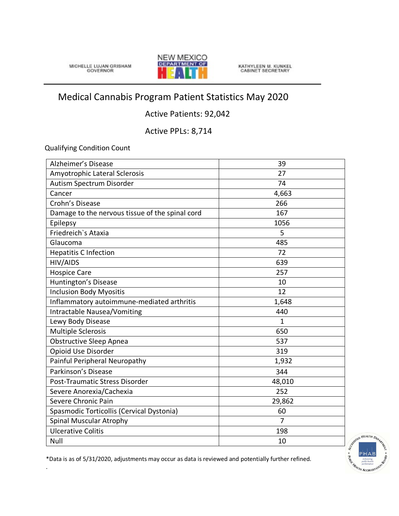MICHELLE LUJAN GRISHAM



KATHYLEEN M. KUNKEL<br>CABINET SECRETARY

## Medical Cannabis Program Patient Statistics May 2020

## Active Patients: 92,042

Active PPLs: 8,714

Qualifying Condition Count

.

| Alzheimer's Disease                             | 39             |
|-------------------------------------------------|----------------|
| Amyotrophic Lateral Sclerosis                   | 27             |
| Autism Spectrum Disorder                        | 74             |
| Cancer                                          | 4,663          |
| Crohn's Disease                                 | 266            |
| Damage to the nervous tissue of the spinal cord | 167            |
| Epilepsy                                        | 1056           |
| Friedreich's Ataxia                             | 5              |
| Glaucoma                                        | 485            |
| <b>Hepatitis C Infection</b>                    | 72             |
| HIV/AIDS                                        | 639            |
| <b>Hospice Care</b>                             | 257            |
| Huntington's Disease                            | 10             |
| <b>Inclusion Body Myositis</b>                  | 12             |
| Inflammatory autoimmune-mediated arthritis      | 1,648          |
| Intractable Nausea/Vomiting                     | 440            |
| Lewy Body Disease                               | $\mathbf{1}$   |
| <b>Multiple Sclerosis</b>                       | 650            |
| <b>Obstructive Sleep Apnea</b>                  | 537            |
| Opioid Use Disorder                             | 319            |
| Painful Peripheral Neuropathy                   | 1,932          |
| Parkinson's Disease                             | 344            |
| Post-Traumatic Stress Disorder                  | 48,010         |
| Severe Anorexia/Cachexia                        | 252            |
| Severe Chronic Pain                             | 29,862         |
| Spasmodic Torticollis (Cervical Dystonia)       | 60             |
| <b>Spinal Muscular Atrophy</b>                  | $\overline{7}$ |
| <b>Ulcerative Colitis</b>                       | 198            |
| Null                                            | 10             |



\*Data is as of 5/31/2020, adjustments may occur as data is reviewed and potentially further refined.